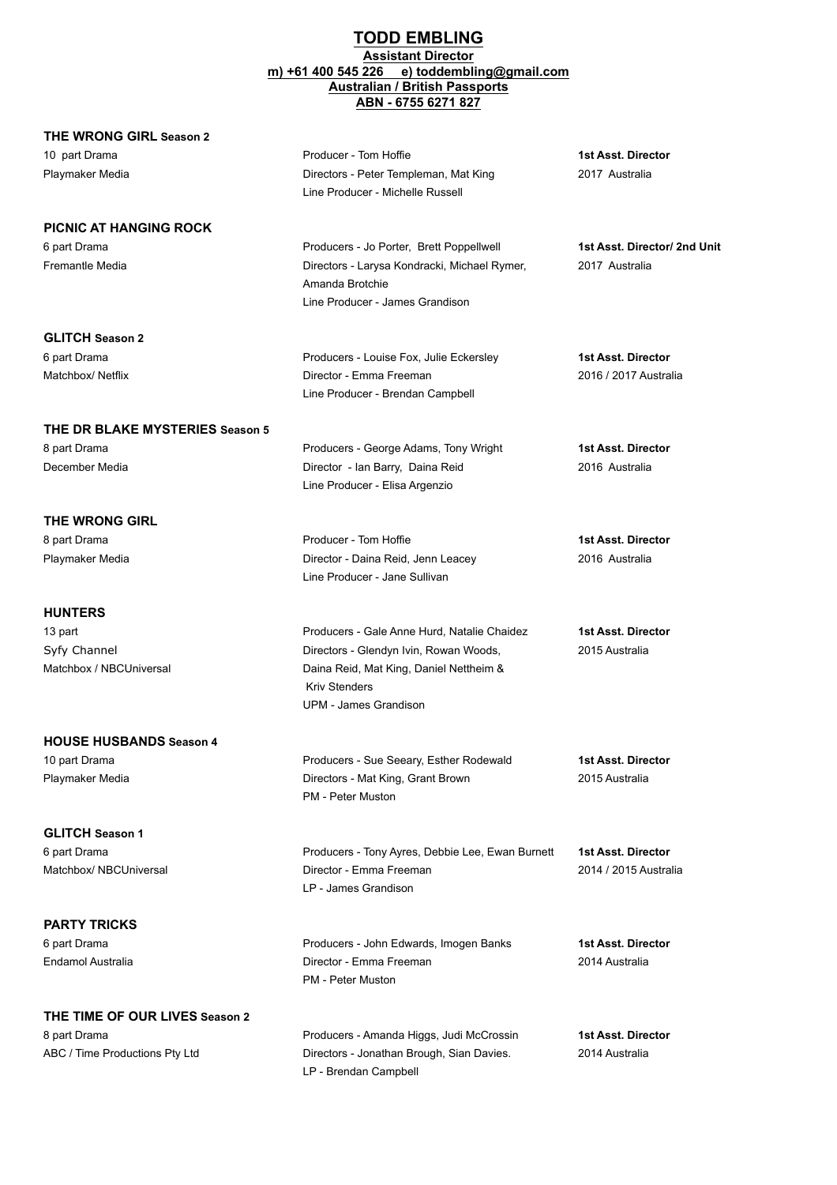## **TODD EMBLING Assistant Director m) +61 400 545 226 e) toddembling@gmail.com Australian / British Passports ABN - 6755 6271 827**

## **THE WRONG GIRL Season 2**

**PICNIC AT HANGING ROCK**

Fremantle Media Directors - Larysa Kondracki, Michael Rymer, 2017 Australia

**GLITCH Season 2**

**THE DR BLAKE MYSTERIES Season 5** 8 part Drama Producers - George Adams, Tony Wright **1st Asst. Director**

December Media Director - Ian Barry, Daina Reid 2016 Australia

**THE WRONG GIRL** 8 part Drama **1st Asst. Director** Producer - Tom Hoffie **1st Asst. Director 1st Asst. Director** Playmaker Media **Director - Director - Daina Reid, Jenn Leacey** 2016 Australia

**HUNTERS**

13 part Producers - Gale Anne Hurd, Natalie Chaidez **1st Asst. Director** Syfy Channel **Directors - Glendyn Ivin, Rowan Woods,** 2015 Australia Matchbox / NBCUniversal Daina Reid, Mat King, Daniel Nettheim &

**HOUSE HUSBANDS Season 4** 10 part Drama Producers - Sue Seeary, Esther Rodewald **1st Asst. Director** Playmaker Media Directors - Mat King, Grant Brown 2015 Australia

**GLITCH Season 1** 6 part Drama Producers - Tony Ayres, Debbie Lee, Ewan Burnett **1st Asst. Director** Matchbox/ NBCUniversal Director - Emma Freeman 2014 / 2015 Australia

**PARTY TRICKS** 6 part Drama Producers - John Edwards, Imogen Banks **1st Asst. Director** Endamol Australia Director - Emma Freeman 2014 Australia

**THE TIME OF OUR LIVES Season 2** 8 part Drama **1st Asst. Director** Producers - Amanda Higgs, Judi McCrossin **1st Asst. Director** 

10 part Drama Producer - Tom Hoffie **1st Asst. Director** Playmaker Media Directors - Peter Templeman, Mat King 2017 Australia Line Producer - Michelle Russell

Line Producer - James Grandison

Line Producer - Brendan Campbell

Line Producer - Elisa Argenzio

Line Producer - Jane Sullivan

Kriv Stenders

PM - Peter Muston

LP - James Grandison

PM - Peter Muston

UPM - James Grandison

Amanda Brotchie

6 part Drama Producers - Jo Porter, Brett Poppellwell **1st Asst. Director/ 2nd Unit**

6 part Drama Producers - Louise Fox, Julie Eckersley **1st Asst. Director** Matchbox/ Netflix **Matchbox/ Netflix** Director - Emma Freeman 2016 / 2017 Australia

ABC / Time Productions Pty Ltd Directors - Jonathan Brough, Sian Davies. 2014 Australia LP - Brendan Campbell